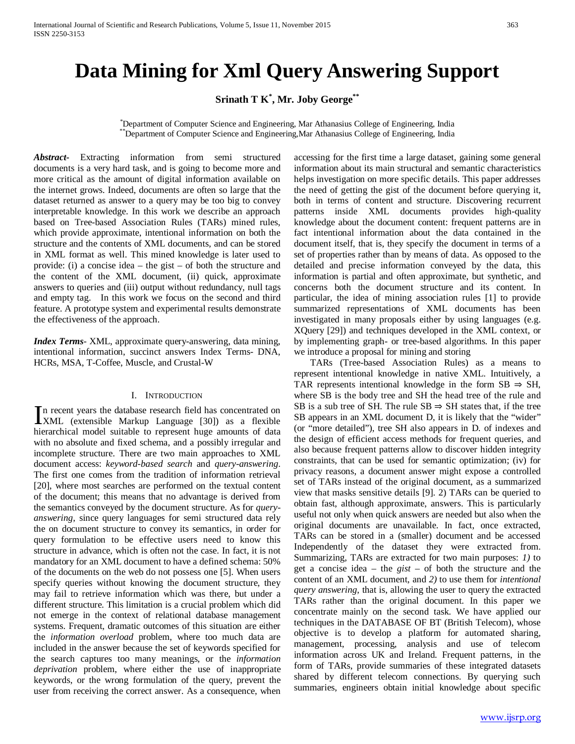# **Data Mining for Xml Query Answering Support**

## **Srinath T K\* , Mr. Joby George\*\***

Department of Computer Science and Engineering, Mar Athanasius College of Engineering, India <sup>\*</sup>Department of Computer Science and Engineering, Mar Athanasius College of Engineering, India

*Abstract***-** Extracting information from semi structured documents is a very hard task, and is going to become more and more critical as the amount of digital information available on the internet grows. Indeed, documents are often so large that the dataset returned as answer to a query may be too big to convey interpretable knowledge. In this work we describe an approach based on Tree-based Association Rules (TARs) mined rules, which provide approximate, intentional information on both the structure and the contents of XML documents, and can be stored in XML format as well. This mined knowledge is later used to provide: (i) a concise idea – the gist – of both the structure and the content of the XML document, (ii) quick, approximate answers to queries and (iii) output without redundancy, null tags and empty tag. In this work we focus on the second and third feature. A prototype system and experimental results demonstrate the effectiveness of the approach.

*Index Terms*- XML, approximate query-answering, data mining, intentional information, succinct answers Index Terms- DNA, HCRs, MSA, T-Coffee, Muscle, and Crustal-W

## I. INTRODUCTION

n recent years the database research field has concentrated on In recent years the database research field has concentrated on XML (extensible Markup Language [30]) as a flexible hierarchical model suitable to represent huge amounts of data with no absolute and fixed schema, and a possibly irregular and incomplete structure. There are two main approaches to XML document access: *keyword-based search* and *query-answering*. The first one comes from the tradition of information retrieval [20], where most searches are performed on the textual content of the document; this means that no advantage is derived from the semantics conveyed by the document structure. As for *queryanswering*, since query languages for semi structured data rely the on document structure to convey its semantics, in order for query formulation to be effective users need to know this structure in advance, which is often not the case. In fact, it is not mandatory for an XML document to have a defined schema: 50% of the documents on the web do not possess one [5]. When users specify queries without knowing the document structure, they may fail to retrieve information which was there, but under a different structure. This limitation is a crucial problem which did not emerge in the context of relational database management systems. Frequent, dramatic outcomes of this situation are either the *information overload* problem, where too much data are included in the answer because the set of keywords specified for the search captures too many meanings, or the *information deprivation* problem, where either the use of inappropriate keywords, or the wrong formulation of the query, prevent the user from receiving the correct answer. As a consequence, when

accessing for the first time a large dataset, gaining some general information about its main structural and semantic characteristics helps investigation on more specific details. This paper addresses the need of getting the gist of the document before querying it, both in terms of content and structure. Discovering recurrent patterns inside XML documents provides high-quality knowledge about the document content: frequent patterns are in fact intentional information about the data contained in the document itself, that is, they specify the document in terms of a set of properties rather than by means of data. As opposed to the detailed and precise information conveyed by the data, this information is partial and often approximate, but synthetic, and concerns both the document structure and its content. In particular, the idea of mining association rules [1] to provide summarized representations of XML documents has been investigated in many proposals either by using languages (e.g. XQuery [29]) and techniques developed in the XML context, or by implementing graph- or tree-based algorithms. In this paper we introduce a proposal for mining and storing

 TARs (Tree-based Association Rules) as a means to represent intentional knowledge in native XML. Intuitively, a TAR represents intentional knowledge in the form  $SB \Rightarrow SH$ , where SB is the body tree and SH the head tree of the rule and SB is a sub tree of SH. The rule  $SB \Rightarrow SH$  states that, if the tree SB appears in an XML document D, it is likely that the "wider" (or "more detailed"), tree SH also appears in D. of indexes and the design of efficient access methods for frequent queries, and also because frequent patterns allow to discover hidden integrity constraints, that can be used for semantic optimization; (iv) for privacy reasons, a document answer might expose a controlled set of TARs instead of the original document, as a summarized view that masks sensitive details [9]. 2) TARs can be queried to obtain fast, although approximate, answers. This is particularly useful not only when quick answers are needed but also when the original documents are unavailable. In fact, once extracted, TARs can be stored in a (smaller) document and be accessed Independently of the dataset they were extracted from. Summarizing, TARs are extracted for two main purposes: *1)* to get a concise idea – the *gist* – of both the structure and the content of an XML document, and *2)* to use them for *intentional query answering*, that is, allowing the user to query the extracted TARs rather than the original document. In this paper we concentrate mainly on the second task. We have applied our techniques in the DATABASE OF BT (British Telecom), whose objective is to develop a platform for automated sharing, management, processing, analysis and use of telecom information across UK and Ireland. Frequent patterns, in the form of TARs, provide summaries of these integrated datasets shared by different telecom connections. By querying such summaries, engineers obtain initial knowledge about specific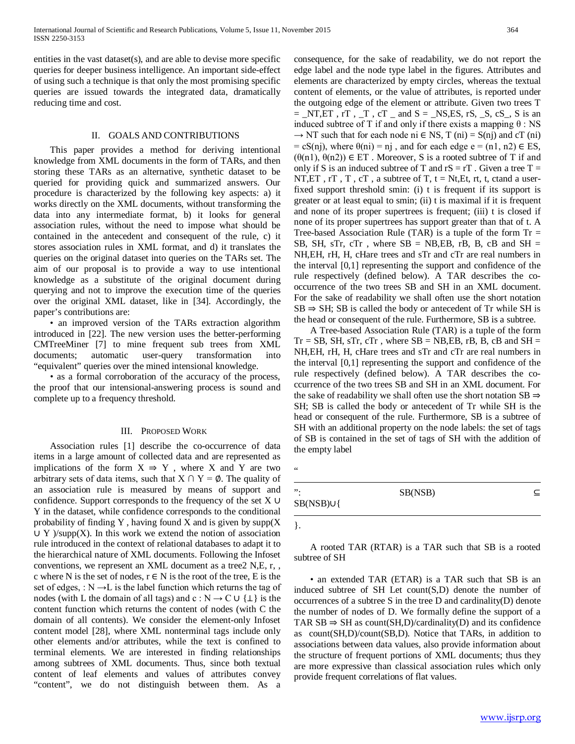entities in the vast dataset(s), and are able to devise more specific queries for deeper business intelligence. An important side-effect of using such a technique is that only the most promising specific queries are issued towards the integrated data, dramatically reducing time and cost.

## II. GOALS AND CONTRIBUTIONS

 This paper provides a method for deriving intentional knowledge from XML documents in the form of TARs, and then storing these TARs as an alternative, synthetic dataset to be queried for providing quick and summarized answers. Our procedure is characterized by the following key aspects: a) it works directly on the XML documents, without transforming the data into any intermediate format, b) it looks for general association rules, without the need to impose what should be contained in the antecedent and consequent of the rule, c) it stores association rules in XML format, and d) it translates the queries on the original dataset into queries on the TARs set. The aim of our proposal is to provide a way to use intentional knowledge as a substitute of the original document during querying and not to improve the execution time of the queries over the original XML dataset, like in [34]. Accordingly, the paper's contributions are:

 • an improved version of the TARs extraction algorithm introduced in [22]. The new version uses the better-performing CMTreeMiner [7] to mine frequent sub trees from XML documents; automatic user-query transformation into "equivalent" queries over the mined intensional knowledge.

 *•* as a formal corroboration of the accuracy of the process, the proof that our intensional-answering process is sound and complete up to a frequency threshold.

#### III. PROPOSED WORK

 Association rules [1] describe the co-occurrence of data items in a large amount of collected data and are represented as implications of the form  $X \Rightarrow Y$ , where X and Y are two arbitrary sets of data items, such that  $X \cap Y = \emptyset$ . The quality of an association rule is measured by means of support and confidence. Support corresponds to the frequency of the set X ∪ Y in the dataset, while confidence corresponds to the conditional probability of finding Y, having found X and is given by  $supp(X)$  $\cup$  Y )/supp(X). In this work we extend the notion of association rule introduced in the context of relational databases to adapt it to the hierarchical nature of XML documents. Following the Infoset conventions, we represent an XML document as a tree2 N,E, r, , c where N is the set of nodes,  $r \in N$  is the root of the tree, E is the set of edges, :  $N \rightarrow L$  is the label function which returns the tag of nodes (with L the domain of all tags) and c : N  $\rightarrow$  C ∪ { $\perp$ } is the content function which returns the content of nodes (with C the domain of all contents). We consider the element-only Infoset content model [28], where XML nonterminal tags include only other elements and/or attributes, while the text is confined to terminal elements. We are interested in finding relationships among subtrees of XML documents. Thus, since both textual content of leaf elements and values of attributes convey "content", we do not distinguish between them. As a

consequence, for the sake of readability, we do not report the edge label and the node type label in the figures. Attributes and elements are characterized by empty circles, whereas the textual content of elements, or the value of attributes, is reported under the outgoing edge of the element or attribute. Given two trees T  $=$  \_NT,ET, rT, \_T, cT \_ and S = \_NS,ES, rS, \_S, cS\_, S is an induced subtree of T if and only if there exists a mapping θ : NS  $\rightarrow$  NT such that for each node ni  $\in$  NS, T (ni) = S(nj) and cT (ni)  $=$  cS(nj), where  $\theta$ (ni) = nj, and for each edge e = (n1, n2)  $\in$  ES,  $(\theta(n1), \theta(n2)) \in ET$ . Moreover, S is a rooted subtree of T if and only if S is an induced subtree of T and  $rS = rT$ . Given a tree T = NT, ET,  $T$ ,  $T$ ,  $T$ ,  $T$ ,  $T$ , a subtree of  $T$ ,  $t = Nt$ ,  $Et$ ,  $rt$ ,  $t$ ,  $ct$   $t$  a userfixed support threshold smin: (i) t is frequent if its support is greater or at least equal to smin; (ii) t is maximal if it is frequent and none of its proper supertrees is frequent; (iii) t is closed if none of its proper supertrees has support greater than that of t. A Tree-based Association Rule (TAR) is a tuple of the form  $Tr =$ SB, SH, sTr, cTr, where  $SB = NB, EB$ , rB, B, cB and  $SH =$ NH,EH, rH, H, cHare trees and sTr and cTr are real numbers in the interval [0,1] representing the support and confidence of the rule respectively (defined below). A TAR describes the cooccurrence of the two trees SB and SH in an XML document. For the sake of readability we shall often use the short notation SB ⇒ SH; SB is called the body or antecedent of Tr while SH is the head or consequent of the rule. Furthermore, SB is a subtree.

 A Tree-based Association Rule (TAR) is a tuple of the form  $Tr = SB$ ,  $SH$ ,  $STr$ ,  $cTr$ , where  $SB = NB$ ,  $EB$ ,  $rB$ ,  $B$ ,  $cB$  and  $SH =$ NH,EH, rH, H, cHare trees and sTr and cTr are real numbers in the interval [0,1] representing the support and confidence of the rule respectively (defined below). A TAR describes the coccurrence of the two trees SB and SH in an XML document. For the sake of readability we shall often use the short notation  $SB \Rightarrow$ SH; SB is called the body or antecedent of Tr while SH is the head or consequent of the rule. Furthermore, SB is a subtree of SH with an additional property on the node labels: the set of tags of SB is contained in the set of tags of SH with the addition of the empty label

"

| ⊆       |
|---------|
|         |
| SB(NSB) |

}.

 A rooted TAR (RTAR) is a TAR such that SB is a rooted subtree of SH

• an extended TAR (ETAR) is a TAR such that SB is an induced subtree of SH Let count(S,D) denote the number of occurrences of a subtree S in the tree D and cardinality(D) denote the number of nodes of D. We formally define the support of a TAR  $SB \Rightarrow SH$  as count(SH,D)/cardinality(D) and its confidence as count(SH,D)/count(SB,D). Notice that TARs, in addition to associations between data values, also provide information about the structure of frequent portions of XML documents; thus they are more expressive than classical association rules which only provide frequent correlations of flat values.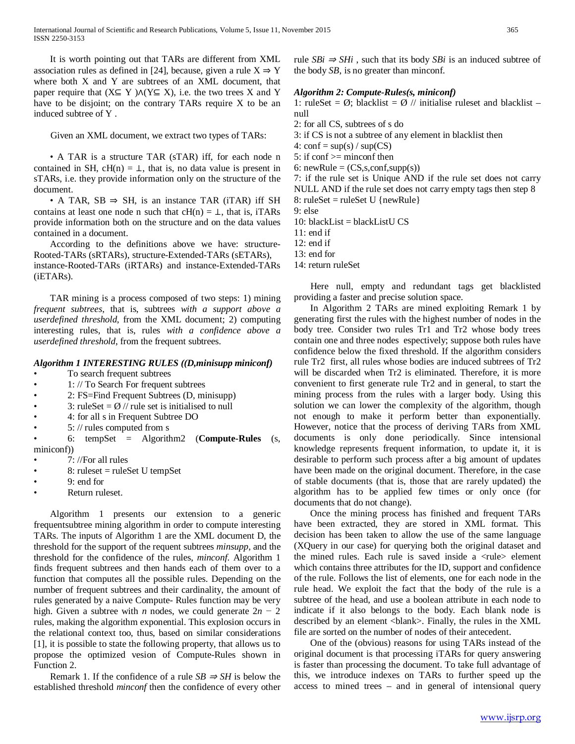It is worth pointing out that TARs are different from XML association rules as defined in [24], because, given a rule  $X \Rightarrow Y$ where both X and Y are subtrees of an XML document, that paper require that  $(X \subseteq Y) \land (Y \subseteq X)$ , i.e. the two trees X and Y have to be disjoint; on the contrary TARs require X to be an induced subtree of Y .

Given an XML document, we extract two types of TARs:

 • A TAR is a structure TAR (sTAR) iff, for each node n contained in SH,  $cH(n) = \perp$ , that is, no data value is present in sTARs, i.e. they provide information only on the structure of the document.

• A TAR,  $SB \Rightarrow SH$ , is an instance TAR (iTAR) iff SH contains at least one node n such that  $cH(n) = \perp$ , that is, iTARs provide information both on the structure and on the data values contained in a document.

 According to the definitions above we have: structure-Rooted-TARs (sRTARs), structure-Extended-TARs (sETARs), instance-Rooted-TARs (iRTARs) and instance-Extended-TARs (iETARs).

 TAR mining is a process composed of two steps: 1) mining *frequent subtrees*, that is, subtrees *with a support above a userdefined threshold*, from the XML document; 2) computing interesting rules, that is, rules *with a confidence above a userdefined threshold*, from the frequent subtrees.

## *Algorithm 1 INTERESTING RULES ((D,minisupp miniconf)*

- To search frequent subtrees
- 1: // To Search For frequent subtrees
- 2: FS=Find Frequent Subtrees (D, minisupp)
- 3: ruleSet =  $\emptyset$  // rule set is initialised to null
- 4: for all s in Frequent Subtree DO
- 5: // rules computed from s

• 6: tempSet = Algorithm2 (**Compute-Rules** (s, miniconf))

- 7: //For all rules
- 8: ruleset = ruleSet U tempSet
- 9: end for
- Return ruleset.

 Algorithm 1 presents our extension to a generic frequentsubtree mining algorithm in order to compute interesting TARs. The inputs of Algorithm 1 are the XML document D, the threshold for the support of the requent subtrees *minsupp*, and the threshold for the confidence of the rules, *minconf*. Algorithm 1 finds frequent subtrees and then hands each of them over to a function that computes all the possible rules. Depending on the number of frequent subtrees and their cardinality, the amount of rules generated by a naive Compute- Rules function may be very high. Given a subtree with *n* nodes, we could generate  $2n - 2$ rules, making the algorithm exponential. This explosion occurs in the relational context too, thus, based on similar considerations [1], it is possible to state the following property, that allows us to propose the optimized vesion of Compute-Rules shown in Function 2.

Remark 1. If the confidence of a rule  $SB \Rightarrow SH$  is below the established threshold *minconf* then the confidence of every other rule  $SBi \Rightarrow SHi$ , such that its body *SBi* is an induced subtree of the body *SB*, is no greater than minconf.

## *Algorithm 2: Compute-Rules(s, miniconf)*

1: ruleSet =  $\emptyset$ ; blacklist =  $\emptyset$  // initialise ruleset and blacklist – null

2: for all CS, subtrees of s do

3: if CS is not a subtree of any element in blacklist then

4:  $\text{conf} = \text{sup}(s) / \text{sup}(CS)$ 

5: if  $\text{conf} \geq \text{minconf}$  then

6: newRule =  $(CS,s,conf, supp(s))$ 

7: if the rule set is Unique AND if the rule set does not carry NULL AND if the rule set does not carry empty tags then step 8 8: ruleSet = ruleSet U {newRule}

9: else

10: blackList = blackListU $CS$ 

11: end if

12: end if

- 13: end for
- 14: return ruleSet

 Here null, empty and redundant tags get blacklisted providing a faster and precise solution space.

 In Algorithm 2 TARs are mined exploiting Remark 1 by generating first the rules with the highest number of nodes in the body tree. Consider two rules Tr1 and Tr2 whose body trees contain one and three nodes espectively; suppose both rules have confidence below the fixed threshold. If the algorithm considers rule Tr2 first, all rules whose bodies are induced subtrees of Tr2 will be discarded when Tr2 is eliminated. Therefore, it is more convenient to first generate rule Tr2 and in general, to start the mining process from the rules with a larger body. Using this solution we can lower the complexity of the algorithm, though not enough to make it perform better than exponentially. However, notice that the process of deriving TARs from XML documents is only done periodically. Since intensional knowledge represents frequent information, to update it, it is desirable to perform such process after a big amount of updates have been made on the original document. Therefore, in the case of stable documents (that is, those that are rarely updated) the algorithm has to be applied few times or only once (for documents that do not change).

 Once the mining process has finished and frequent TARs have been extracted, they are stored in XML format. This decision has been taken to allow the use of the same language (XQuery in our case) for querying both the original dataset and the mined rules. Each rule is saved inside a  $\langle$ rule $\rangle$  element which contains three attributes for the ID, support and confidence of the rule. Follows the list of elements, one for each node in the rule head. We exploit the fact that the body of the rule is a subtree of the head, and use a boolean attribute in each node to indicate if it also belongs to the body. Each blank node is described by an element <blank>. Finally, the rules in the XML file are sorted on the number of nodes of their antecedent.

 One of the (obvious) reasons for using TARs instead of the original document is that processing iTARs for query answering is faster than processing the document. To take full advantage of this, we introduce indexes on TARs to further speed up the access to mined trees – and in general of intensional query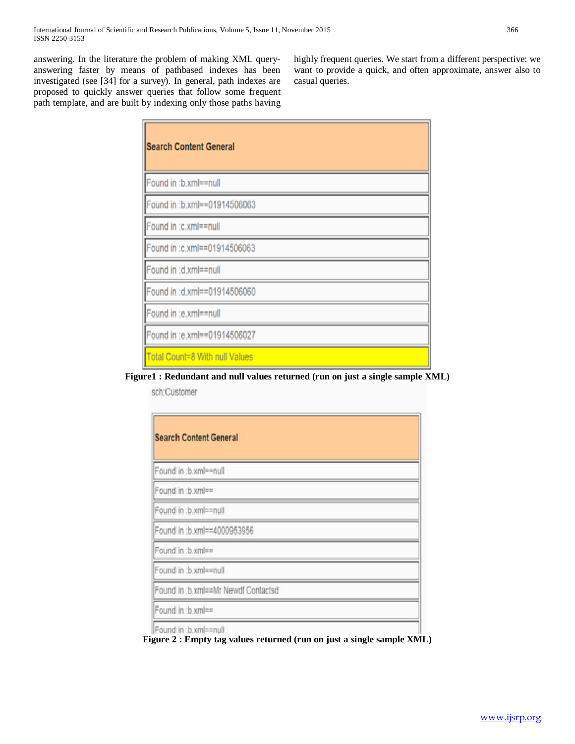answering. In the literature the problem of making XML queryanswering faster by means of pathbased indexes has been investigated (see [34] for a survey). In general, path indexes are proposed to quickly answer queries that follow some frequent path template, and are built by indexing only those paths having highly frequent queries. We start from a different perspective: we want to provide a quick, and often approximate, answer also to casual queries.

| <b>Search Content General</b>  |
|--------------------------------|
| Found in :b.xml==null          |
| Found in :b.xml==01914506063   |
| Found in :c.xml==null          |
| Found in :c.xml==01914506063   |
| Found in :d.xml==null          |
| Found in :d.xml==01914506060   |
| Found in :e.xml==null          |
| Found in :e.xml == 01914506027 |
| Total Count=8 With null Values |

## **Figure1 : Redundant and null values returned (run on just a single sample XML)**

sch:Customer

| <b>Search Content General</b>       |  |
|-------------------------------------|--|
| Found in :b.xml==null               |  |
| Found in :b.xml==                   |  |
| Found in :b.xml==null               |  |
| Found in :b.xml==4000953956         |  |
| Found in :b.xml==                   |  |
| Found in :b.xml==null               |  |
| Found in :b.xml==Mr Newdf Contactsd |  |
| Found in :b.xml==                   |  |
| Found in :b.xml==null               |  |

**Figure 2 : Empty tag values returned (run on just a single sample XML)**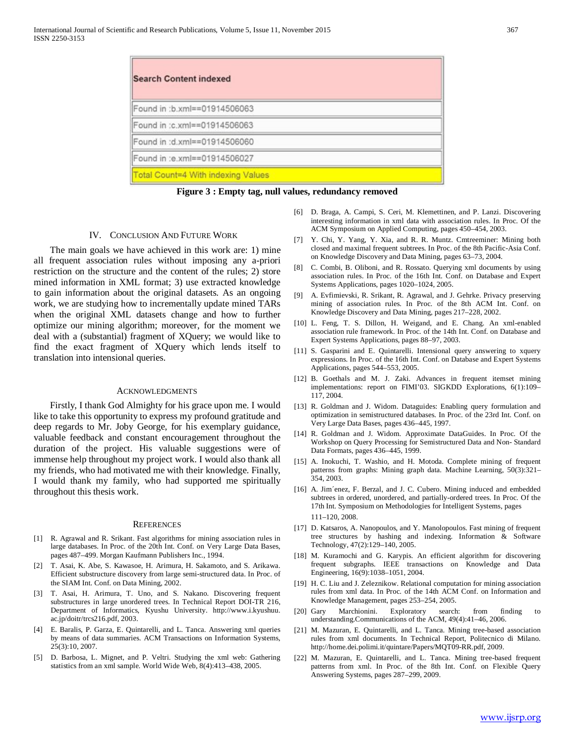| <b>Search Content indexed</b>             |  |
|-------------------------------------------|--|
| Found in :b.xml==01914506063              |  |
| Found in :c.xml==01914506063              |  |
| Found in :d.xml==01914506060              |  |
| Found in :e.xml==01914506027              |  |
| <b>Total Count=4 With indexing Values</b> |  |

**Figure 3 : Empty tag, null values, redundancy removed**

### IV. CONCLUSION AND FUTURE WORK

 The main goals we have achieved in this work are: 1) mine all frequent association rules without imposing any a-priori restriction on the structure and the content of the rules; 2) store mined information in XML format; 3) use extracted knowledge to gain information about the original datasets. As an ongoing work, we are studying how to incrementally update mined TARs when the original XML datasets change and how to further optimize our mining algorithm; moreover, for the moment we deal with a (substantial) fragment of XQuery; we would like to find the exact fragment of XQuery which lends itself to translation into intensional queries.

#### ACKNOWLEDGMENTS

 Firstly, I thank God Almighty for his grace upon me. I would like to take this opportunity to express my profound gratitude and deep regards to Mr. Joby George, for his exemplary guidance, valuable feedback and constant encouragement throughout the duration of the project. His valuable suggestions were of immense help throughout my project work. I would also thank all my friends, who had motivated me with their knowledge. Finally, I would thank my family, who had supported me spiritually throughout this thesis work.

#### **REFERENCES**

- [1] R. Agrawal and R. Srikant. Fast algorithms for mining association rules in large databases. In Proc. of the 20th Int. Conf. on Very Large Data Bases, pages 487–499. Morgan Kaufmann Publishers Inc., 1994.
- [2] T. Asai, K. Abe, S. Kawasoe, H. Arimura, H. Sakamoto, and S. Arikawa. Efficient substructure discovery from large semi-structured data. In Proc. of the SIAM Int. Conf. on Data Mining, 2002.
- [3] T. Asai, H. Arimura, T. Uno, and S. Nakano. Discovering frequent substructures in large unordered trees. In Technical Report DOI-TR 216, Department of Informatics, Kyushu University. http://www.i.kyushuu. ac.jp/doitr/trcs216.pdf, 2003.
- [4] E. Baralis, P. Garza, E. Quintarelli, and L. Tanca. Answering xml queries by means of data summaries. ACM Transactions on Information Systems, 25(3):10, 2007.
- [5] D. Barbosa, L. Mignet, and P. Veltri. Studying the xml web: Gathering statistics from an xml sample. World Wide Web, 8(4):413–438, 2005.
- [6] D. Braga, A. Campi, S. Ceri, M. Klemettinen, and P. Lanzi. Discovering interesting information in xml data with association rules. In Proc. Of the ACM Symposium on Applied Computing, pages 450–454, 2003.
- [7] Y. Chi, Y. Yang, Y. Xia, and R. R. Muntz. Cmtreeminer: Mining both closed and maximal frequent subtrees. In Proc. of the 8th Pacific-Asia Conf. on Knowledge Discovery and Data Mining, pages 63–73, 2004.
- [8] C. Combi, B. Oliboni, and R. Rossato. Querying xml documents by using association rules. In Proc. of the 16th Int. Conf. on Database and Expert Systems Applications, pages 1020–1024, 2005.
- [9] A. Evfimievski, R. Srikant, R. Agrawal, and J. Gehrke. Privacy preserving mining of association rules. In Proc. of the 8th ACM Int. Conf. on Knowledge Discovery and Data Mining, pages 217–228, 2002.
- [10] L. Feng, T. S. Dillon, H. Weigand, and E. Chang. An xml-enabled association rule framework. In Proc. of the 14th Int. Conf. on Database and Expert Systems Applications, pages 88–97, 2003.
- [11] S. Gasparini and E. Quintarelli. Intensional query answering to xquery expressions. In Proc. of the 16th Int. Conf. on Database and Expert Systems Applications, pages 544–553, 2005.
- [12] B. Goethals and M. J. Zaki. Advances in frequent itemset mining implementations: report on FIMI'03. SIGKDD Explorations, 6(1):109– 117, 2004.
- [13] R. Goldman and J. Widom. Dataguides: Enabling query formulation and optimization in semistructured databases. In Proc. of the 23rd Int. Conf. on Very Large Data Bases, pages 436–445, 1997.
- [14] R. Goldman and J. Widom. Approximate DataGuides. In Proc. Of the Workshop on Query Processing for Semistructured Data and Non- Standard Data Formats, pages 436–445, 1999.
- [15] A. Inokuchi, T. Washio, and H. Motoda. Complete mining of frequent patterns from graphs: Mining graph data. Machine Learning, 50(3):321– 354, 2003.
- [16] A. Jim´enez, F. Berzal, and J. C. Cubero. Mining induced and embedded subtrees in ordered, unordered, and partially-ordered trees. In Proc. Of the 17th Int. Symposium on Methodologies for Intelligent Systems, pages 111–120, 2008.
- [17] D. Katsaros, A. Nanopoulos, and Y. Manolopoulos. Fast mining of frequent tree structures by hashing and indexing. Information & Software Technology, 47(2):129–140, 2005.
- [18] M. Kuramochi and G. Karypis. An efficient algorithm for discovering frequent subgraphs. IEEE transactions on Knowledge and Data Engineering, 16(9):1038–1051, 2004.
- [19] H. C. Liu and J. Zeleznikow. Relational computation for mining association rules from xml data. In Proc. of the 14th ACM Conf. on Information and Knowledge Management, pages 253–254, 2005.
- [20] Gary Marchionini. Exploratory search: from finding to understanding.Communications of the ACM, 49(4):41–46, 2006.
- [21] M. Mazuran, E. Quintarelli, and L. Tanca. Mining tree-based association rules from xml documents. In Technical Report, Politecnico di Milano. http://home.dei.polimi.it/quintare/Papers/MQT09-RR.pdf, 2009.
- [22] M. Mazuran, E. Quintarelli, and L. Tanca. Mining tree-based frequent patterns from xml. In Proc. of the 8th Int. Conf. on Flexible Query Answering Systems, pages 287–299, 2009.